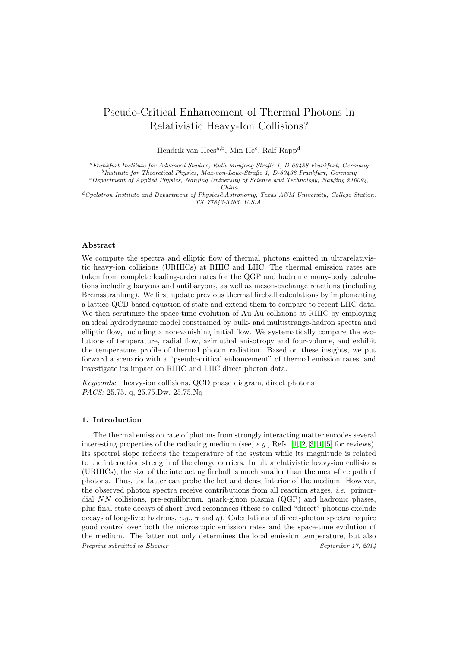# Pseudo-Critical Enhancement of Thermal Photons in Relativistic Heavy-Ion Collisions?

Hendrik van Hees<sup>a,b</sup>, Min He<sup>c</sup>, Ralf Rapp<sup>d</sup>

<sup>a</sup>Frankfurt Institute for Advanced Studies, Ruth-Moufang-Straße 1, D-60438 Frankfurt, Germany <sup>b</sup>Institute for Theoretical Physics, Max-von-Laue-Straße 1, D-60438 Frankfurt, Germany

<sup>c</sup>Department of Applied Physics, Nanjing University of Science and Technology, Nanjing 210094, China

 ${}^dC$ yclotron Institute and Department of Physics&Astronomy, Texas A&M University, College Station, TX 77843-3366, U.S.A.

#### Abstract

We compute the spectra and elliptic flow of thermal photons emitted in ultrarelativistic heavy-ion collisions (URHICs) at RHIC and LHC. The thermal emission rates are taken from complete leading-order rates for the QGP and hadronic many-body calculations including baryons and antibaryons, as well as meson-exchange reactions (including Bremsstrahlung). We first update previous thermal fireball calculations by implementing a lattice-QCD based equation of state and extend them to compare to recent LHC data. We then scrutinize the space-time evolution of Au-Au collisions at RHIC by employing an ideal hydrodynamic model constrained by bulk- and multistrange-hadron spectra and elliptic flow, including a non-vanishing initial flow. We systematically compare the evolutions of temperature, radial flow, azimuthal anisotropy and four-volume, and exhibit the temperature profile of thermal photon radiation. Based on these insights, we put forward a scenario with a "pseudo-critical enhancement" of thermal emission rates, and investigate its impact on RHIC and LHC direct photon data.

Keywords: heavy-ion collisions, QCD phase diagram, direct photons PACS: 25.75.-q, 25.75.Dw, 25.75.Nq

# 1. Introduction

The thermal emission rate of photons from strongly interacting matter encodes several interesting properties of the radiating medium (see,  $e.g.,$  Refs. [\[1,](#page-15-0) [2,](#page-15-1) [3,](#page-15-2) [4,](#page-15-3) [5\]](#page-15-4) for reviews). Its spectral slope reflects the temperature of the system while its magnitude is related to the interaction strength of the charge carriers. In ultrarelativistic heavy-ion collisions (URHICs), the size of the interacting fireball is much smaller than the mean-free path of photons. Thus, the latter can probe the hot and dense interior of the medium. However, the observed photon spectra receive contributions from all reaction stages, *i.e.*, primordial NN collisions, pre-equilibrium, quark-gluon plasma (QGP) and hadronic phases, plus final-state decays of short-lived resonances (these so-called "direct" photons exclude decays of long-lived hadrons, e.g.,  $\pi$  and  $\eta$ ). Calculations of direct-photon spectra require good control over both the microscopic emission rates and the space-time evolution of the medium. The latter not only determines the local emission temperature, but also Preprint submitted to Elsevier September 17, 2014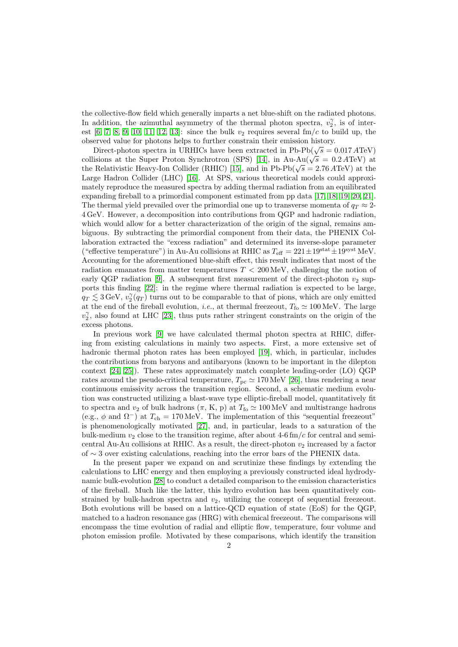the collective-flow field which generally imparts a net blue-shift on the radiated photons. In addition, the azimuthal asymmetry of the thermal photon spectra,  $v_2^{\gamma}$ , is of inter-est [\[6,](#page-15-5) [7,](#page-15-6) [8,](#page-15-7) [9,](#page-15-8) [10,](#page-15-9) [11,](#page-15-10) [12,](#page-15-11) [13\]](#page-15-12): since the bulk  $v_2$  requires several fm/c to build up, the observed value for photons helps to further constrain their emission history.

 $\mu$  between value for photons helps to further constrain their emission instory.<br>Direct-photon spectra in URHICs have been extracted in Pb-Pb( $\sqrt{s} = 0.017 A \text{TeV}$ ) collisions at the Super Proton Synchrotron (SPS) [\[14\]](#page-15-13), in Au-Au( $\sqrt{s} = 0.2 A \text{TeV}$ ) at the Relativistic Heavy-Ion Collider (RHIC) [\[15\]](#page-15-14), and in Pb-Pb( $\sqrt{s} = 2.76 \text{ ATeV}$ ) at the Large Hadron Collider (LHC) [\[16\]](#page-15-15). At SPS, various theoretical models could approximately reproduce the measured spectra by adding thermal radiation from an equilibrated expanding fireball to a primordial component estimated from pp data [\[17,](#page-15-16) [18,](#page-15-17) [19,](#page-15-18) [20,](#page-15-19) [21\]](#page-15-20). The thermal yield prevailed over the primordial one up to transverse momenta of  $q_T \approx 2$ -4 GeV. However, a decomposition into contributions from QGP and hadronic radiation, which would allow for a better characterization of the origin of the signal, remains ambiguous. By subtracting the primordial component from their data, the PHENIX Collaboration extracted the "excess radiation" and determined its inverse-slope parameter ("effective temperature") in Au-Au collisions at RHIC as  $T_{\text{eff}} = 221 \pm 19^{\text{stat}} \pm 19^{\text{syst}}$  MeV. Accounting for the aforementioned blue-shift effect, this result indicates that most of the radiation emanates from matter temperatures  $T < 200 \,\text{MeV}$ , challenging the notion of early QGP radiation [\[9\]](#page-15-8). A subsequent first measurement of the direct-photon  $v_2$  supports this finding [\[22\]](#page-16-0): in the regime where thermal radiation is expected to be large,  $q_T \lesssim 3 \,\text{GeV}, v_2^{\gamma}(q_T)$  turns out to be comparable to that of pions, which are only emitted at the end of the fireball evolution, *i.e.*, at thermal freezeout,  $T_{\text{fo}} \simeq 100 \,\text{MeV}$ . The large  $v_2^{\gamma}$ , also found at LHC [\[23\]](#page-16-1), thus puts rather stringent constraints on the origin of the excess photons.

In previous work [\[9\]](#page-15-8) we have calculated thermal photon spectra at RHIC, differing from existing calculations in mainly two aspects. First, a more extensive set of hadronic thermal photon rates has been employed [\[19\]](#page-15-18), which, in particular, includes the contributions from baryons and antibaryons (known to be important in the dilepton context [\[24,](#page-16-2) [25\]](#page-16-3)). These rates approximately match complete leading-order (LO) QGP rates around the pseudo-critical temperature,  $T_{\text{pc}} \simeq 170 \,\text{MeV}$  [\[26\]](#page-16-4), thus rendering a near continuous emissivity across the transition region. Second, a schematic medium evolution was constructed utilizing a blast-wave type elliptic-fireball model, quantitatively fit to spectra and  $v_2$  of bulk hadrons  $(\pi, K, p)$  at  $T_{fo} \simeq 100 \,\text{MeV}$  and multistrange hadrons (e.g.,  $\phi$  and  $\Omega^-$ ) at  $T_{ch} = 170 \,\text{MeV}$ . The implementation of this "sequential freezeout" is phenomenologically motivated [\[27\]](#page-16-5), and, in particular, leads to a saturation of the bulk-medium  $v_2$  close to the transition regime, after about 4-6 fm/c for central and semicentral Au-Au collisions at RHIC. As a result, the direct-photon  $v_2$  increased by a factor of ∼ 3 over existing calculations, reaching into the error bars of the PHENIX data.

In the present paper we expand on and scrutinize these findings by extending the calculations to LHC energy and then employing a previously constructed ideal hydrodynamic bulk-evolution [\[28\]](#page-16-6) to conduct a detailed comparison to the emission characteristics of the fireball. Much like the latter, this hydro evolution has been quantitatively constrained by bulk-hadron spectra and  $v_2$ , utilizing the concept of sequential freezeout. Both evolutions will be based on a lattice-QCD equation of state (EoS) for the QGP, matched to a hadron resonance gas (HRG) with chemical freezeout. The comparisons will encompass the time evolution of radial and elliptic flow, temperature, four volume and photon emission profile. Motivated by these comparisons, which identify the transition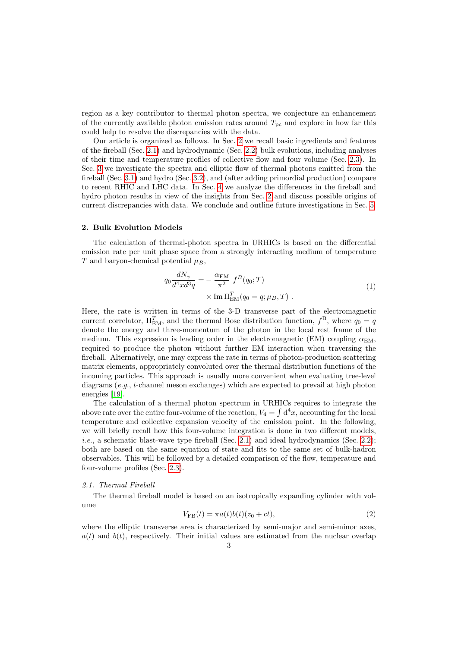region as a key contributor to thermal photon spectra, we conjecture an enhancement of the currently available photon emission rates around  $T_{\text{pc}}$  and explore in how far this could help to resolve the discrepancies with the data.

Our article is organized as follows. In Sec. [2](#page-2-0) we recall basic ingredients and features of the fireball (Sec. [2.1\)](#page-2-1) and hydrodynamic (Sec. [2.2\)](#page-4-0) bulk evolutions, including analyses of their time and temperature profiles of collective flow and four volume (Sec. [2.3\)](#page-5-0). In Sec. [3](#page-8-0) we investigate the spectra and elliptic flow of thermal photons emitted from the fireball (Sec. [3.1\)](#page-8-1) and hydro (Sec. [3.2\)](#page-10-0), and (after adding primordial production) compare to recent RHIC and LHC data. In Sec. [4](#page-12-0) we analyze the differences in the fireball and hydro photon results in view of the insights from Sec. [2](#page-2-0) and discuss possible origins of current discrepancies with data. We conclude and outline future investigations in Sec. [5.](#page-14-0)

#### <span id="page-2-0"></span>2. Bulk Evolution Models

The calculation of thermal-photon spectra in URHICs is based on the differential emission rate per unit phase space from a strongly interacting medium of temperature T and baryon-chemical potential  $\mu_B$ ,

$$
q_0 \frac{dN_{\gamma}}{d^4x d^3q} = -\frac{\alpha_{\text{EM}}}{\pi^2} f^B(q_0; T)
$$
  
 
$$
\times \operatorname{Im} \Pi_{\text{EM}}^T(q_0 = q; \mu_B, T) .
$$
 (1)

<span id="page-2-2"></span>Here, the rate is written in terms of the 3-D transverse part of the electromagnetic current correlator,  $\Pi_{EM}^T$ , and the thermal Bose distribution function,  $f^B$ , where  $q_0 = q$ denote the energy and three-momentum of the photon in the local rest frame of the medium. This expression is leading order in the electromagnetic (EM) coupling  $\alpha_{EM}$ , required to produce the photon without further EM interaction when traversing the fireball. Alternatively, one may express the rate in terms of photon-production scattering matrix elements, appropriately convoluted over the thermal distribution functions of the incoming particles. This approach is usually more convenient when evaluating tree-level diagrams (e.g., t-channel meson exchanges) which are expected to prevail at high photon energies [\[19\]](#page-15-18).

The calculation of a thermal photon spectrum in URHICs requires to integrate the above rate over the entire four-volume of the reaction,  $V_4 = \int d^4x$ , accounting for the local temperature and collective expansion velocity of the emission point. In the following, we will briefly recall how this four-volume integration is done in two different models, *i.e.*, a schematic blast-wave type fireball (Sec. [2.1\)](#page-2-1) and ideal hydrodynamics (Sec. [2.2\)](#page-4-0); both are based on the same equation of state and fits to the same set of bulk-hadron observables. This will be followed by a detailed comparison of the flow, temperature and four-volume profiles (Sec. [2.3\)](#page-5-0).

# <span id="page-2-1"></span>2.1. Thermal Fireball

The thermal fireball model is based on an isotropically expanding cylinder with volume

$$
V_{\rm FB}(t) = \pi a(t)b(t)(z_0 + ct),
$$
\n(2)

where the elliptic transverse area is characterized by semi-major and semi-minor axes,  $a(t)$  and  $b(t)$ , respectively. Their initial values are estimated from the nuclear overlap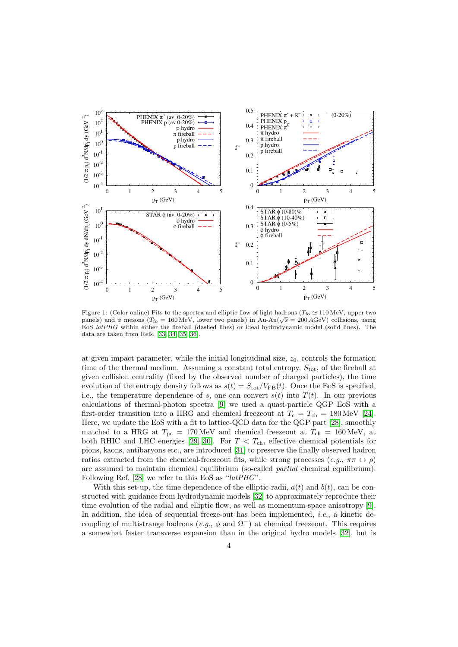

<span id="page-3-0"></span>Figure 1: (Color online) Fits to the spectra and elliptic flow of light hadrons  $(T_{\text{fo}} \approx 110 \text{ MeV})$ , upper two Figure 1. (Color online) Fits to the spectra and emptic now of light hadrons ( $T_{\text{fo}} \approx 110 \text{ MeV}$ , upper two panels) and  $\phi$  mesons ( $T_{\text{fo}} = 160 \text{ MeV}$ , lower two panels) in Au-Au( $\sqrt{s} = 200 \text{ AGeV}$ ) collisions, using EoS latPHG within either the fireball (dashed lines) or ideal hydrodynamic model (solid lines). The data are taken from Refs. [\[33,](#page-16-7) [34,](#page-16-8) [35,](#page-16-9) [36\]](#page-16-10).

at given impact parameter, while the initial longitudinal size,  $z_0$ , controls the formation time of the thermal medium. Assuming a constant total entropy,  $S_{\text{tot}}$ , of the fireball at given collision centrality (fixed by the observed number of charged particles), the time evolution of the entropy density follows as  $s(t) = S_{\text{tot}}/V_{\text{FB}}(t)$ . Once the EoS is specified, i.e., the temperature dependence of s, one can convert  $s(t)$  into  $T(t)$ . In our previous calculations of thermal-photon spectra [\[9\]](#page-15-8) we used a quasi-particle QGP EoS with a first-order transition into a HRG and chemical freezeout at  $T_c = T_{ch} = 180 \,\text{MeV}$  [\[24\]](#page-16-2). Here, we update the EoS with a fit to lattice-QCD data for the QGP part [\[28\]](#page-16-6), smoothly matched to a HRG at  $T_{pc} = 170 \,\text{MeV}$  and chemical freezeout at  $T_{ch} = 160 \,\text{MeV}$ , at both RHIC and LHC energies [\[29,](#page-16-11) [30\]](#page-16-12). For  $T < T_{ch}$ , effective chemical potentials for pions, kaons, antibaryons etc., are introduced [\[31\]](#page-16-13) to preserve the finally observed hadron ratios extracted from the chemical-freezeout fits, while strong processes  $(e.g., \pi \pi \leftrightarrow \rho)$ are assumed to maintain chemical equilibrium (so-called partial chemical equilibrium). Following Ref. [\[28\]](#page-16-6) we refer to this EoS as "latPHG".

With this set-up, the time dependence of the elliptic radii,  $a(t)$  and  $b(t)$ , can be constructed with guidance from hydrodynamic models [\[32\]](#page-16-14) to approximately reproduce their time evolution of the radial and elliptic flow, as well as momentum-space anisotropy [\[9\]](#page-15-8). In addition, the idea of sequential freeze-out has been implemented, *i.e.*, a kinetic decoupling of multistrange hadrons (e.g.,  $\phi$  and  $\Omega^-$ ) at chemical freezeout. This requires a somewhat faster transverse expansion than in the original hydro models [\[32\]](#page-16-14), but is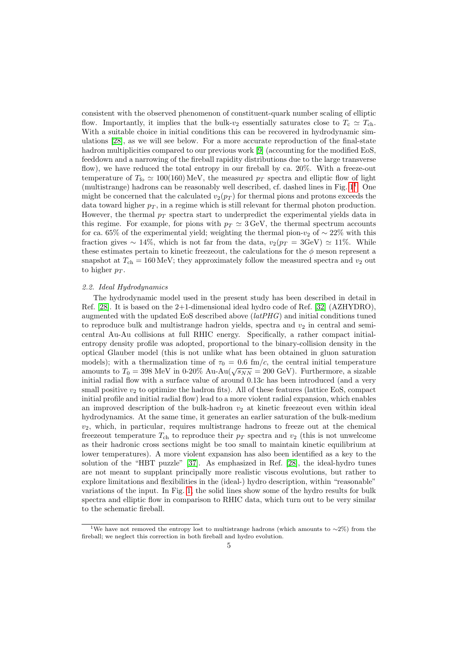consistent with the observed phenomenon of constituent-quark number scaling of elliptic flow. Importantly, it implies that the bulk- $v_2$  essentially saturates close to  $T_c \simeq T_{\text{ch}}$ . With a suitable choice in initial conditions this can be recovered in hydrodynamic simulations [\[28\]](#page-16-6), as we will see below. For a more accurate reproduction of the final-state hadron multiplicities compared to our previous work [\[9\]](#page-15-8) (accounting for the modified EoS, feeddown and a narrowing of the fireball rapidity distributions due to the large transverse flow), we have reduced the total entropy in our fireball by ca.  $20\%$ . With a freeze-out temperature of  $T_{\text{fo}} \simeq 100(160) \text{ MeV}$ , the measured  $p_T$  spectra and elliptic flow of light (multistrange) hadrons can be reasonably well described, cf. dashed lines in Fig.  $1<sup>1</sup>$  $1<sup>1</sup>$ . One might be concerned that the calculated  $v_2(p_T)$  for thermal pions and protons exceeds the data toward higher  $p<sub>T</sub>$ , in a regime which is still relevant for thermal photon production. However, the thermal  $p_T$  spectra start to underpredict the experimental yields data in this regime. For example, for pions with  $p_T \simeq 3 \,\text{GeV}$ , the thermal spectrum accounts for ca. 65% of the experimental yield; weighting the thermal pion-v<sub>2</sub> of ~ 22% with this fraction gives ~ 14%, which is not far from the data,  $v_2(p_T = 3 \text{GeV}) \simeq 11\%$ . While these estimates pertain to kinetic freezeout, the calculations for the  $\phi$  meson represent a snapshot at  $T_{\rm ch} = 160$  MeV; they approximately follow the measured spectra and  $v_2$  out to higher  $p_T$ .

# <span id="page-4-0"></span>2.2. Ideal Hydrodynamics

The hydrodynamic model used in the present study has been described in detail in Ref. [\[28\]](#page-16-6). It is based on the 2+1-dimensional ideal hydro code of Ref. [\[32\]](#page-16-14) (AZHYDRO), augmented with the updated EoS described above  $(latPHG)$  and initial conditions tuned to reproduce bulk and multistrange hadron yields, spectra and  $v<sub>2</sub>$  in central and semicentral Au-Au collisions at full RHIC energy. Specifically, a rather compact initialentropy density profile was adopted, proportional to the binary-collision density in the optical Glauber model (this is not unlike what has been obtained in gluon saturation models); with a thermalization time of  $\tau_0 = 0.6$  fm/c, the central initial temperature amounts to  $T_0 = 398$  MeV in 0-20% Au-Au( $\sqrt{s_{NN}} = 200$  GeV). Furthermore, a sizable initial radial flow with a surface value of around 0.13c has been introduced (and a very small positive  $v_2$  to optimize the hadron fits). All of these features (lattice EoS, compact initial profile and initial radial flow) lead to a more violent radial expansion, which enables an improved description of the bulk-hadron  $v_2$  at kinetic freezeout even within ideal hydrodynamics. At the same time, it generates an earlier saturation of the bulk-medium  $v_2$ , which, in particular, requires multistrange hadrons to freeze out at the chemical freezeout temperature  $T_{ch}$  to reproduce their  $p_T$  spectra and  $v_2$  (this is not unwelcome as their hadronic cross sections might be too small to maintain kinetic equilibrium at lower temperatures). A more violent expansion has also been identified as a key to the solution of the "HBT puzzle" [\[37\]](#page-16-15). As emphasized in Ref. [\[28\]](#page-16-6), the ideal-hydro tunes are not meant to supplant principally more realistic viscous evolutions, but rather to explore limitations and flexibilities in the (ideal-) hydro description, within "reasonable" variations of the input. In Fig. [1,](#page-3-0) the solid lines show some of the hydro results for bulk spectra and elliptic flow in comparison to RHIC data, which turn out to be very similar to the schematic fireball.

<span id="page-4-1"></span><sup>&</sup>lt;sup>1</sup>We have not removed the entropy lost to multistrange hadrons (which amounts to ∼2%) from the fireball; we neglect this correction in both fireball and hydro evolution.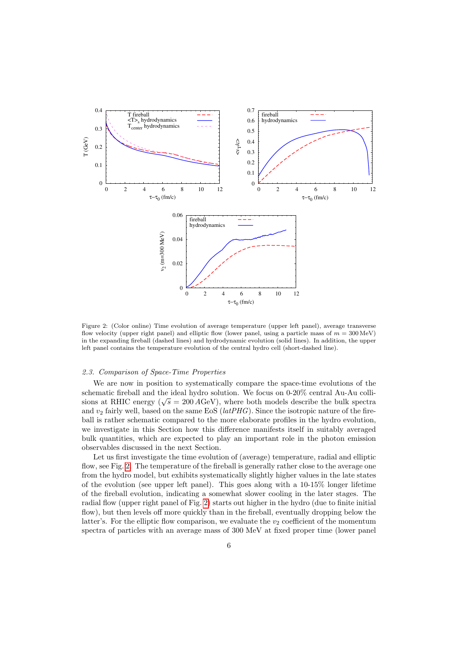

<span id="page-5-1"></span>Figure 2: (Color online) Time evolution of average temperature (upper left panel), average transverse flow velocity (upper right panel) and elliptic flow (lower panel, using a particle mass of  $m = 300 \,\text{MeV}$ ) in the expanding fireball (dashed lines) and hydrodynamic evolution (solid lines). In addition, the upper left panel contains the temperature evolution of the central hydro cell (short-dashed line).

#### <span id="page-5-0"></span>2.3. Comparison of Space-Time Properties

We are now in position to systematically compare the space-time evolutions of the schematic fireball and the ideal hydro solution. We focus on 0-20% central Au-Au collischematic ineban and the ideal hydro solution. We locus on 0-20% central Au-Au com-<br>sions at RHIC energy ( $\sqrt{s} = 200 \text{ AGeV}$ ), where both models describe the bulk spectra and  $v_2$  fairly well, based on the same EoS (*latPHG*). Since the isotropic nature of the fireball is rather schematic compared to the more elaborate profiles in the hydro evolution, we investigate in this Section how this difference manifests itself in suitably averaged bulk quantities, which are expected to play an important role in the photon emission observables discussed in the next Section.

Let us first investigate the time evolution of (average) temperature, radial and elliptic flow, see Fig. [2.](#page-5-1) The temperature of the fireball is generally rather close to the average one from the hydro model, but exhibits systematically slightly higher values in the late states of the evolution (see upper left panel). This goes along with a  $10-15\%$  longer lifetime of the fireball evolution, indicating a somewhat slower cooling in the later stages. The radial flow (upper right panel of Fig. [2\)](#page-5-1) starts out higher in the hydro (due to finite initial flow), but then levels off more quickly than in the fireball, eventually dropping below the latter's. For the elliptic flow comparison, we evaluate the  $v_2$  coefficient of the momentum spectra of particles with an average mass of 300 MeV at fixed proper time (lower panel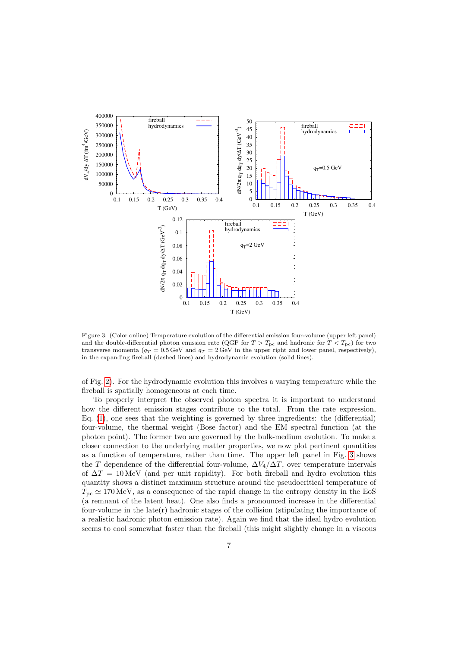

<span id="page-6-0"></span>Figure 3: (Color online) Temperature evolution of the differential emission four-volume (upper left panel) and the double-differential photon emission rate (QGP for  $T > T_{\text{pc}}$  and hadronic for  $T < T_{\text{pc}}$ ) for two transverse momenta ( $q_T = 0.5$  GeV and  $q_T = 2$  GeV in the upper right and lower panel, respectively), in the expanding fireball (dashed lines) and hydrodynamic evolution (solid lines).

of Fig. [2\)](#page-5-1). For the hydrodynamic evolution this involves a varying temperature while the fireball is spatially homogeneous at each time.

To properly interpret the observed photon spectra it is important to understand how the different emission stages contribute to the total. From the rate expression, Eq. [\(1\)](#page-2-2), one sees that the weighting is governed by three ingredients: the (differential) four-volume, the thermal weight (Bose factor) and the EM spectral function (at the photon point). The former two are governed by the bulk-medium evolution. To make a closer connection to the underlying matter properties, we now plot pertinent quantities as a function of temperature, rather than time. The upper left panel in Fig. [3](#page-6-0) shows the T dependence of the differential four-volume,  $\Delta V_4/\Delta T$ , over temperature intervals of  $\Delta T = 10$  MeV (and per unit rapidity). For both fireball and hydro evolution this quantity shows a distinct maximum structure around the pseudocritical temperature of  $T_{\text{pc}} \simeq 170 \text{ MeV}$ , as a consequence of the rapid change in the entropy density in the EoS (a remnant of the latent heat). One also finds a pronounced increase in the differential four-volume in the late $(r)$  hadronic stages of the collision (stipulating the importance of a realistic hadronic photon emission rate). Again we find that the ideal hydro evolution seems to cool somewhat faster than the fireball (this might slightly change in a viscous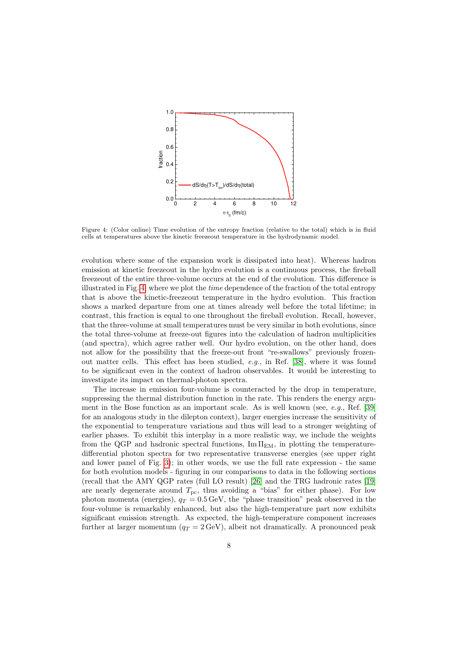

<span id="page-7-0"></span>Figure 4: (Color online) Time evolution of the entropy fraction (relative to the total) which is in fluid cells at temperatures above the kinetic freezeout temperature in the hydrodynamic model.

evolution where some of the expansion work is dissipated into heat). Whereas hadron emission at kinetic freezeout in the hydro evolution is a continuous process, the fireball freezeout of the entire three-volume occurs at the end of the evolution. This difference is illustrated in Fig. [4,](#page-7-0) where we plot the time dependence of the fraction of the total entropy that is above the kinetic-freezeout temperature in the hydro evolution. This fraction shows a marked departure from one at times already well before the total lifetime; in contrast, this fraction is equal to one throughout the fireball evolution. Recall, however, that the three-volume at small temperatures must be very similar in both evolutions, since the total three-volume at freeze-out figures into the calculation of hadron multiplicities (and spectra), which agree rather well. Our hydro evolution, on the other hand, does not allow for the possibility that the freeze-out front "re-swallows" previously frozenout matter cells. This effect has been studied, e.g., in Ref. [\[38\]](#page-16-16), where it was found to be significant even in the context of hadron observables. It would be interesting to investigate its impact on thermal-photon spectra.

The increase in emission four-volume is counteracted by the drop in temperature, suppressing the thermal distribution function in the rate. This renders the energy argu-ment in the Bose function as an important scale. As is well known (see, e.g., Ref. [\[39\]](#page-16-17) for an analogous study in the dilepton context), larger energies increase the sensitivity of the exponential to temperature variations and thus will lead to a stronger weighting of earlier phases. To exhibit this interplay in a more realistic way, we include the weights from the QGP and hadronic spectral functions,  $\text{Im}\Pi_{\text{EM}}$ , in plotting the temperaturedifferential photon spectra for two representative transverse energies (see upper right and lower panel of Fig. [3\)](#page-6-0); in other words, we use the full rate expression - the same for both evolution models - figuring in our comparisons to data in the following sections (recall that the AMY QGP rates (full LO result) [\[26\]](#page-16-4) and the TRG hadronic rates [\[19\]](#page-15-18) are nearly degenerate around  $T_{\text{pc}}$ , thus avoiding a "bias" for either phase). For low photon momenta (energies),  $q_T = 0.5 \,\text{GeV}$ , the "phase transition" peak observed in the four-volume is remarkably enhanced, but also the high-temperature part now exhibits significant emission strength. As expected, the high-temperature component increases further at larger momentum  $(q_T = 2 \text{ GeV})$ , albeit not dramatically. A pronounced peak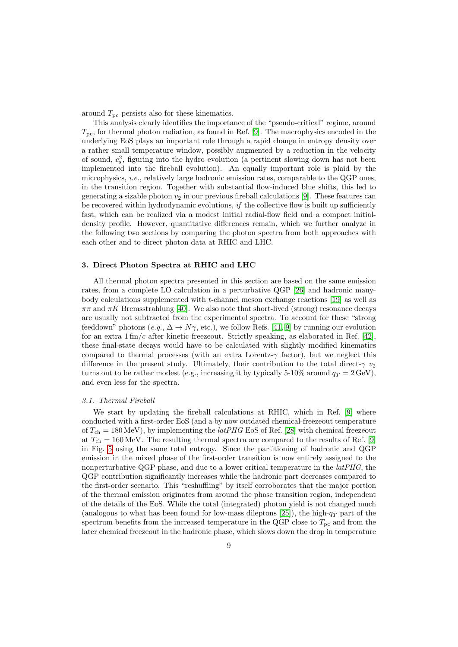around  $T_{\text{pc}}$  persists also for these kinematics.

This analysis clearly identifies the importance of the "pseudo-critical" regime, around  $T_{\text{pc}}$ , for thermal photon radiation, as found in Ref. [\[9\]](#page-15-8). The macrophysics encoded in the underlying EoS plays an important role through a rapid change in entropy density over a rather small temperature window, possibly augmented by a reduction in the velocity of sound,  $c_s^2$ , figuring into the hydro evolution (a pertinent slowing down has not been implemented into the fireball evolution). An equally important role is plaid by the microphysics, i.e., relatively large hadronic emission rates, comparable to the QGP ones, in the transition region. Together with substantial flow-induced blue shifts, this led to generating a sizable photon  $v_2$  in our previous fireball calculations [\[9\]](#page-15-8). These features can be recovered within hydrodynamic evolutions,  $if$  the collective flow is built up sufficiently fast, which can be realized via a modest initial radial-flow field and a compact initialdensity profile. However, quantitative differences remain, which we further analyze in the following two sections by comparing the photon spectra from both approaches with each other and to direct photon data at RHIC and LHC.

## <span id="page-8-0"></span>3. Direct Photon Spectra at RHIC and LHC

All thermal photon spectra presented in this section are based on the same emission rates, from a complete LO calculation in a perturbative QGP [\[26\]](#page-16-4) and hadronic manybody calculations supplemented with t-channel meson exchange reactions [\[19\]](#page-15-18) as well as  $\pi\pi$  and  $\pi K$  Bremsstrahlung [\[40\]](#page-16-18). We also note that short-lived (strong) resonance decays are usually not subtracted from the experimental spectra. To account for these "strong feeddown" photons (e.g.,  $\Delta \to N\gamma$ , etc.), we follow Refs. [\[41,](#page-16-19) [9\]](#page-15-8) by running our evolution for an extra  $1 \text{ fm}/c$  after kinetic freezeout. Strictly speaking, as elaborated in Ref. [\[42\]](#page-16-20). these final-state decays would have to be calculated with slightly modified kinematics compared to thermal processes (with an extra Lorentz- $\gamma$  factor), but we neglect this difference in the present study. Ultimately, their contribution to the total direct- $\gamma v_2$ turns out to be rather modest (e.g., increasing it by typically 5-10% around  $q_T = 2 \,\text{GeV}$ ), and even less for the spectra.

#### <span id="page-8-1"></span>3.1. Thermal Fireball

We start by updating the fireball calculations at RHIC, which in Ref. [\[9\]](#page-15-8) where conducted with a first-order EoS (and a by now outdated chemical-freezeout temperature of  $T_{ch} = 180 \,\mathrm{MeV}$ ), by implementing the *latPHG* EoS of Ref. [\[28\]](#page-16-6) with chemical freezeout at  $T_{\rm ch} = 160$  MeV. The resulting thermal spectra are compared to the results of Ref. [\[9\]](#page-15-8) in Fig. [5](#page-9-0) using the same total entropy. Since the partitioning of hadronic and QGP emission in the mixed phase of the first-order transition is now entirely assigned to the nonperturbative OGP phase, and due to a lower critical temperature in the  $latPHG$ , the QGP contribution significantly increases while the hadronic part decreases compared to the first-order scenario. This "reshuffling" by itself corroborates that the major portion of the thermal emission originates from around the phase transition region, independent of the details of the EoS. While the total (integrated) photon yield is not changed much (analogous to what has been found for low-mass dileptons [\[25\]](#page-16-3)), the high- $q_T$  part of the spectrum benefits from the increased temperature in the QGP close to  $T_{\text{pc}}$  and from the later chemical freezeout in the hadronic phase, which slows down the drop in temperature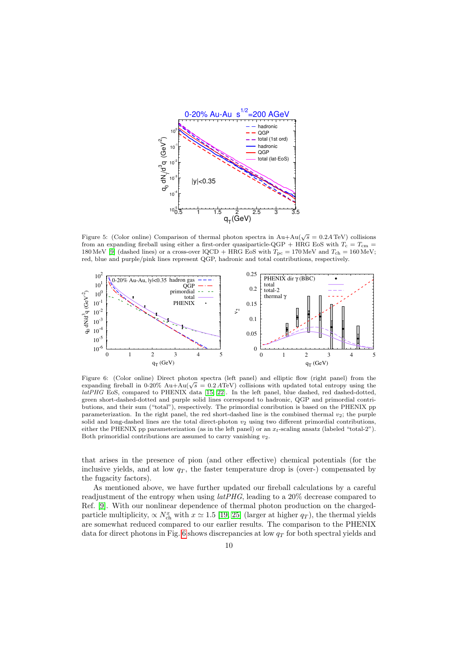

<span id="page-9-0"></span>Figure 5: (Color online) Comparison of thermal photon spectra in  $Au+Au(\sqrt{s} = 0.2A \text{ TeV})$  collisions from an expanding fireball using either a first-order quasiparticle-QGP + HRG EoS with  $T_c = T_{cm}$  = 180 MeV [\[9\]](#page-15-8) (dashed lines) or a cross-over lQCD + HRG EoS with  $T_{pc} = 170$  MeV and  $T_{ch} = 160$  MeV; red, blue and purple/pink lines represent QGP, hadronic and total contributions, respectively.



<span id="page-9-1"></span>Figure 6: (Color online) Direct photon spectra (left panel) and elliptic flow (right panel) from the expanding fireball in 0-20% Au+Au( $\sqrt{s}$  = 0.2 ATeV) collisions with updated total entropy using the latPHG EoS, compared to PHENIX data [\[15,](#page-15-14) [22\]](#page-16-0). In the left panel, blue dashed, red dashed-dotted, green short-dashed-dotted and purple solid lines correspond to hadronic, QGP and primordial contributions, and their sum ("total"), respectively. The primordial conribution is based on the PHENIX pp parameterization. In the right panel, the red short-dashed line is the combined thermal  $v_2$ ; the purple solid and long-dashed lines are the total direct-photon  $v_2$  using two different primordial contributions, either the PHENIX pp parameterization (as in the left panel) or an  $x_t$ -scaling ansatz (labeled "total-2"). Both primoridial contributions are assumed to carry vanishing  $v_2$ .

that arises in the presence of pion (and other effective) chemical potentials (for the inclusive yields, and at low  $q_T$ , the faster temperature drop is (over-) compensated by the fugacity factors).

As mentioned above, we have further updated our fireball calculations by a careful readjustment of the entropy when using latPHG, leading to a 20% decrease compared to Ref. [\[9\]](#page-15-8). With our nonlinear dependence of thermal photon production on the chargedparticle multiplicity,  $\propto N_{\text{ch}}^x$  with  $x \simeq 1.5$  [\[19,](#page-15-18) [25\]](#page-16-3) (larger at higher  $q_T$ ), the thermal yields are somewhat reduced compared to our earlier results. The comparison to the PHENIX data for direct photons in Fig. [6](#page-9-1) shows discrepancies at low  $q_T$  for both spectral yields and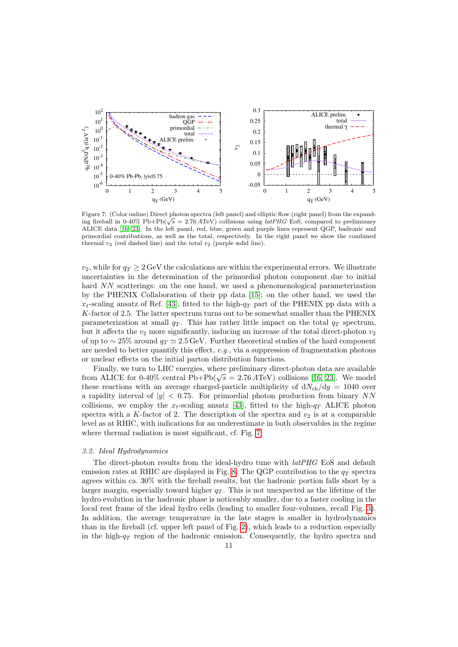

<span id="page-10-1"></span>Figure 7: (Color online) Direct photon spectra (left panel) and elliptic flow (right panel) from the expand-Figure *i*: (Color omine) Direct photon spectra (left pailer) and emptic flow (right pailer) from the expanding fireball in 0-40% Pb+Pb( $\sqrt{s}$  = 2.76 ATeV) collisions using *latPHG* EoS, compared to preliminary ALICE data [\[16,](#page-15-15) [23\]](#page-16-1). In the left panel, red, blue, green and purple lines represent QGP, hadronic and primordial contributions, as well as the total, respectively. In the right panel we show the combined thermal  $v_2$  (red dashed line) and the total  $v_2$  (purple solid line).

 $v_2$ , while for  $q_T \geq 2 \text{ GeV}$  the calculations are within the experimental errors. We illustrate uncertainties in the determination of the primordial photon component due to initial hard NN scatterings: on the one hand, we used a phenomenological parameterization by the PHENIX Collaboration of their pp data [\[15\]](#page-15-14); on the other hand, we used the  $x_t$ -scaling ansatz of Ref. [\[43\]](#page-16-21), fitted to the high- $q_T$  part of the PHENIX pp data with a K-factor of 2.5. The latter spectrum turns out to be somewhat smaller than the PHENIX parameterization at small  $q_T$ . This has rather little impact on the total  $q_T$  spectrum, but it affects the  $v_2$  more significantly, inducing an increase of the total direct-photon  $v_2$ of up to  $\sim$  25% around  $q_T \simeq 2.5$  GeV. Further theoretical studies of the hard component are needed to better quantify this effect,  $e.g.,$  via a suppression of fragmentation photons or nuclear effects on the initial parton distribution functions.

Finally, we turn to LHC energies, where preliminary direct-photon data are available Finary, we turn to EIIC energies, where prendict and the extension data are available<br>from ALICE for 0-40% central Pb+Pb( $\sqrt{s}$  = 2.76 ATeV) collisions [\[16,](#page-15-15) [23\]](#page-16-1). We model these reactions with an average charged-particle multiplicity of  $dN_{ch}/dy = 1040$  over a rapidity interval of  $|y| < 0.75$ . For primordial photon production from binary NN collisions, we employ the  $x_t$ -scaling ansatz [\[43\]](#page-16-21), fitted to the high- $q_T$  ALICE photon spectra with a K-factor of 2. The description of the spectra and  $v_2$  is at a comparable level as at RHIC, with indications for an underestimate in both observables in the regime where thermal radiation is most significant, cf. Fig. [7.](#page-10-1)

## <span id="page-10-0"></span>3.2. Ideal Hydrodynamics

The direct-photon results from the ideal-hydro tune with latPHG EoS and default emission rates at RHIC are displayed in Fig. [8.](#page-11-0) The QGP contribution to the  $q_T$  spectra agrees within ca. 30% with the fireball results, but the hadronic portion falls short by a larger margin, especially toward higher  $q_T$ . This is not unexpected as the lifetime of the hydro evolution in the hadronic phase is noticeably smaller, due to a faster cooling in the local rest frame of the ideal hydro cells (leading to smaller four-volumes, recall Fig. [3\)](#page-6-0). In addition, the average temperature in the late stages is smaller in hydrodynamics than in the fireball (cf. upper left panel of Fig. [2\)](#page-5-1), which leads to a reduction especially in the high- $q_T$  region of the hadronic emission. Consequently, the hydro spectra and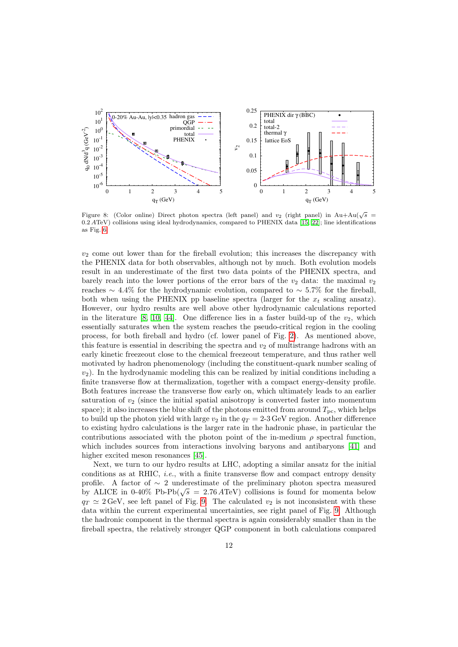

<span id="page-11-0"></span>Figure 8: (Color online) Direct photon spectra (left panel) and  $v_2$  (right panel) in Au+Au( $\sqrt{s}$  = 0.2 ATeV) collisions using ideal hydrodynamics, compared to PHENIX data [\[15,](#page-15-14) [22\]](#page-16-0); line identifications as Fig. [6.](#page-9-1)

 $v_2$  come out lower than for the fireball evolution; this increases the discrepancy with the PHENIX data for both observables, although not by much. Both evolution models result in an underestimate of the first two data points of the PHENIX spectra, and barely reach into the lower portions of the error bars of the  $v_2$  data: the maximal  $v_2$ reaches  $\sim 4.4\%$  for the hydrodynamic evolution, compared to  $\sim 5.7\%$  for the fireball, both when using the PHENIX pp baseline spectra (larger for the  $x_t$  scaling ansatz). However, our hydro results are well above other hydrodynamic calculations reported in the literature  $[8, 10, 44]$  $[8, 10, 44]$  $[8, 10, 44]$ . One difference lies in a faster build-up of the  $v_2$ , which essentially saturates when the system reaches the pseudo-critical region in the cooling process, for both fireball and hydro (cf. lower panel of Fig. [2\)](#page-5-1). As mentioned above, this feature is essential in describing the spectra and  $v<sub>2</sub>$  of multistrange hadrons with an early kinetic freezeout close to the chemical freezeout temperature, and thus rather well motivated by hadron phenomenology (including the constituent-quark number scaling of  $v_2$ ). In the hydrodynamic modeling this can be realized by initial conditions including a finite transverse flow at thermalization, together with a compact energy-density profile. Both features increase the transverse flow early on, which ultimately leads to an earlier saturation of  $v_2$  (since the initial spatial anisotropy is converted faster into momentum space); it also increases the blue shift of the photons emitted from around  $T_{\text{pc}}$ , which helps to build up the photon yield with large  $v_2$  in the  $q_T = 2-3 \,\text{GeV}$  region. Another difference to existing hydro calculations is the larger rate in the hadronic phase, in particular the contributions associated with the photon point of the in-medium  $\rho$  spectral function. which includes sources from interactions involving baryons and antibaryons [\[41\]](#page-16-19) and higher excited meson resonances [\[45\]](#page-16-23).

Next, we turn to our hydro results at LHC, adopting a similar ansatz for the initial conditions as at RHIC, i.e., with a finite transverse flow and compact entropy density profile. A factor of  $\sim$  2 underestimate of the preliminary photon spectra measured by ALICE in 0-40% Pb-Pb( $\sqrt{s}$  = 2.76 ATeV) collisions is found for momenta below  $q_T \simeq 2 \,\text{GeV}$ , see left panel of Fig. [9.](#page-12-1) The calculated  $v_2$  is not inconsistent with these data within the current experimental uncertainties, see right panel of Fig. [9.](#page-12-1) Although the hadronic component in the thermal spectra is again considerably smaller than in the fireball spectra, the relatively stronger QGP component in both calculations compared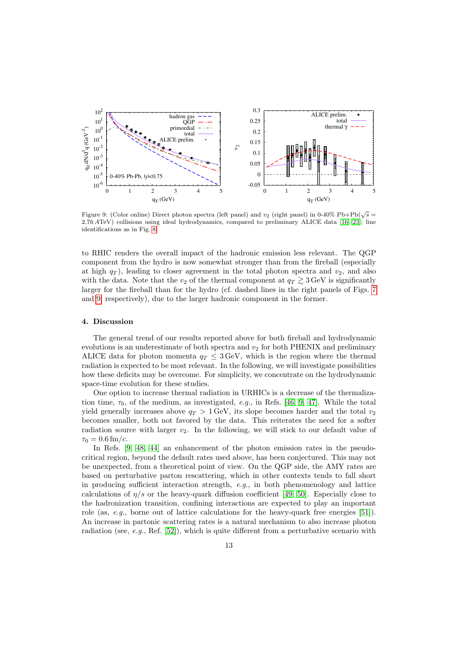

<span id="page-12-1"></span>Figure 9: (Color online) Direct photon spectra (left panel) and  $v_2$  (right panel) in 0-40% Pb+Pb( $\sqrt{s}$  = 2.76 ATeV) collisions using ideal hydrodynamics, compared to preliminary ALICE data [\[16,](#page-15-15) [23\]](#page-16-1); line identifications as in Fig. [8.](#page-11-0)

to RHIC renders the overall impact of the hadronic emission less relevant. The QGP component from the hydro is now somewhat stronger than from the fireball (especially at high  $q_T$ ), leading to closer agreement in the total photon spectra and  $v_2$ , and also with the data. Note that the  $v_2$  of the thermal component at  $q_T \gtrsim 3 \,\text{GeV}$  is significantly larger for the fireball than for the hydro (cf. dashed lines in the right panels of Figs. [7](#page-10-1) and [9,](#page-12-1) respectively), due to the larger hadronic component in the former.

# <span id="page-12-0"></span>4. Discussion

The general trend of our results reported above for both fireball and hydrodynamic evolutions is an underestimate of both spectra and  $v_2$  for both PHENIX and preliminary ALICE data for photon momenta  $q_T \leq 3 \text{ GeV}$ , which is the region where the thermal radiation is expected to be most relevant. In the following, we will investigate possibilities how these deficits may be overcome. For simplicity, we concentrate on the hydrodynamic space-time evolution for these studies.

One option to increase thermal radiation in URHICs is a decrease of the thermalization time,  $\tau_0$ , of the medium, as investigated, *e.g.*, in Refs. [\[46,](#page-16-24) [9,](#page-15-8) [47\]](#page-16-25). While the total yield generally increases above  $q_T > 1$  GeV, its slope becomes harder and the total  $v_2$ becomes smaller, both not favored by the data. This reiterates the need for a softer radiation source with larger  $v_2$ . In the following, we will stick to our default value of  $\tau_0 = 0.6 \, \text{fm}/c$ .

In Refs. [\[9,](#page-15-8) [48,](#page-16-26) [44\]](#page-16-22) an enhancement of the photon emission rates in the pseudocritical region, beyond the default rates used above, has been conjectured. This may not be unexpected, from a theoretical point of view. On the QGP side, the AMY rates are based on perturbative parton rescattering, which in other contexts tends to fall short in producing sufficient interaction strength,  $e.g.,$  in both phenomenology and lattice calculations of  $\eta/s$  or the heavy-quark diffusion coefficient [\[49,](#page-16-27) [50\]](#page-16-28). Especially close to the hadronization transition, confining interactions are expected to play an important role (as, e.g., borne out of lattice calculations for the heavy-quark free energies [\[51\]](#page-16-29)). An increase in partonic scattering rates is a natural mechanism to also increase photon radiation (see, e.g., Ref.  $[52]$ ), which is quite different from a perturbative scenario with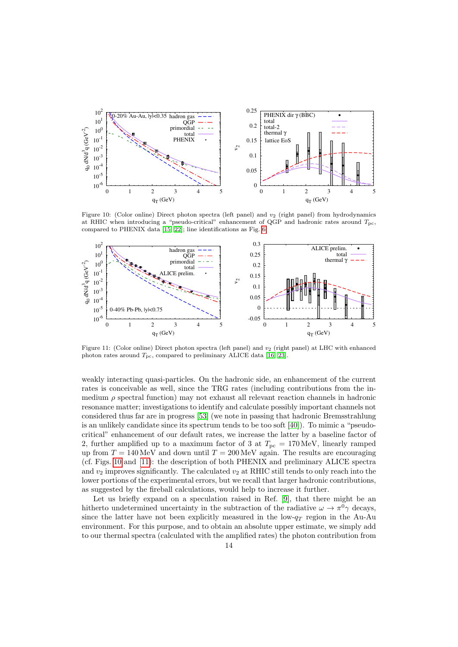

<span id="page-13-0"></span>Figure 10: (Color online) Direct photon spectra (left panel) and  $v_2$  (right panel) from hydrodynamics at RHIC when introducing a "pseudo-critical" enhancement of QGP and hadronic rates around  $T_{\text{pc}}$ , compared to PHENIX data [\[15,](#page-15-14) [22\]](#page-16-0); line identifications as Fig. [6.](#page-9-1)



<span id="page-13-1"></span>Figure 11: (Color online) Direct photon spectra (left panel) and  $v_2$  (right panel) at LHC with enhanced photon rates around  $T_{\text{pc}}$ , compared to preliminary ALICE data [\[16,](#page-15-15) [23\]](#page-16-1).

weakly interacting quasi-particles. On the hadronic side, an enhancement of the current rates is conceivable as well, since the TRG rates (including contributions from the inmedium  $\rho$  spectral function) may not exhaust all relevant reaction channels in hadronic resonance matter; investigations to identify and calculate possibly important channels not considered thus far are in progress [\[53\]](#page-16-31) (we note in passing that hadronic Bremsstrahlung is an unlikely candidate since its spectrum tends to be too soft [\[40\]](#page-16-18)). To mimic a "pseudocritical" enhancement of our default rates, we increase the latter by a baseline factor of 2, further amplified up to a maximum factor of 3 at  $T_{\text{pc}} = 170 \text{ MeV}$ , linearly ramped up from  $T = 140 \,\text{MeV}$  and down until  $T = 200 \,\text{MeV}$  again. The results are encouraging (cf. Figs. [10](#page-13-0) and [11\)](#page-13-1): the description of both PHENIX and preliminary ALICE spectra and  $v_2$  improves significantly. The calculated  $v_2$  at RHIC still tends to only reach into the lower portions of the experimental errors, but we recall that larger hadronic contributions, as suggested by the fireball calculations, would help to increase it further.

Let us briefly expand on a speculation raised in Ref. [\[9\]](#page-15-8), that there might be an hitherto undetermined uncertainty in the subtraction of the radiative  $\omega \to \pi^0 \gamma$  decays, since the latter have not been explicitly measured in the low- $q_T$  region in the Au-Au environment. For this purpose, and to obtain an absolute upper estimate, we simply add to our thermal spectra (calculated with the amplified rates) the photon contribution from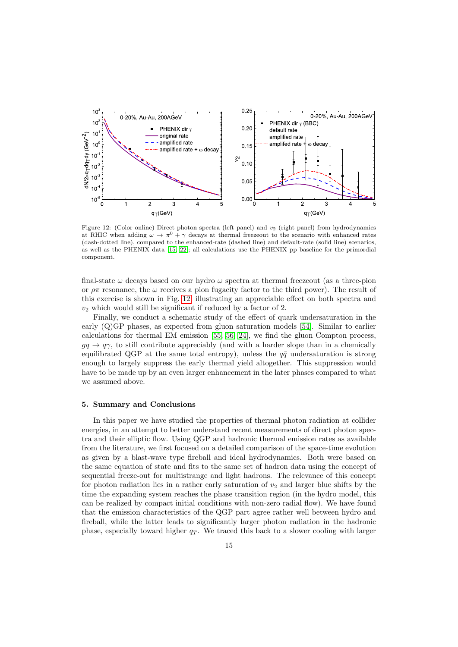

<span id="page-14-1"></span>Figure 12: (Color online) Direct photon spectra (left panel) and  $v_2$  (right panel) from hydrodynamics at RHIC when adding  $\omega \to \pi^0 + \gamma$  decays at thermal freezeout to the scenario with enhanced rates (dash-dotted line), compared to the enhanced-rate (dashed line) and default-rate (solid line) scenarios, as well as the PHENIX data [\[15,](#page-15-14) [22\]](#page-16-0); all calculations use the PHENIX pp baseline for the primordial component.

final-state  $\omega$  decays based on our hydro  $\omega$  spectra at thermal freezeout (as a three-pion or  $\rho\pi$  resonance, the  $\omega$  receives a pion fugacity factor to the third power). The result of this exercise is shown in Fig. [12,](#page-14-1) illustrating an appreciable effect on both spectra and  $v_2$  which would still be significant if reduced by a factor of 2.

Finally, we conduct a schematic study of the effect of quark undersaturation in the early (Q)GP phases, as expected from gluon saturation models [\[54\]](#page-16-32). Similar to earlier calculations for thermal EM emission [\[55,](#page-16-33) [56,](#page-16-34) [24\]](#page-16-2), we find the gluon Compton process,  $gg \to q\gamma$ , to still contribute appreciably (and with a harder slope than in a chemically equilibrated QGP at the same total entropy), unless the  $q\bar{q}$  undersaturation is strong enough to largely suppress the early thermal yield altogether. This suppression would have to be made up by an even larger enhancement in the later phases compared to what we assumed above.

#### <span id="page-14-0"></span>5. Summary and Conclusions

In this paper we have studied the properties of thermal photon radiation at collider energies, in an attempt to better understand recent measurements of direct photon spectra and their elliptic flow. Using QGP and hadronic thermal emission rates as available from the literature, we first focused on a detailed comparison of the space-time evolution as given by a blast-wave type fireball and ideal hydrodynamics. Both were based on the same equation of state and fits to the same set of hadron data using the concept of sequential freeze-out for multistrange and light hadrons. The relevance of this concept for photon radiation lies in a rather early saturation of  $v_2$  and larger blue shifts by the time the expanding system reaches the phase transition region (in the hydro model, this can be realized by compact initial conditions with non-zero radial flow). We have found that the emission characteristics of the QGP part agree rather well between hydro and fireball, while the latter leads to significantly larger photon radiation in the hadronic phase, especially toward higher  $q_T$ . We traced this back to a slower cooling with larger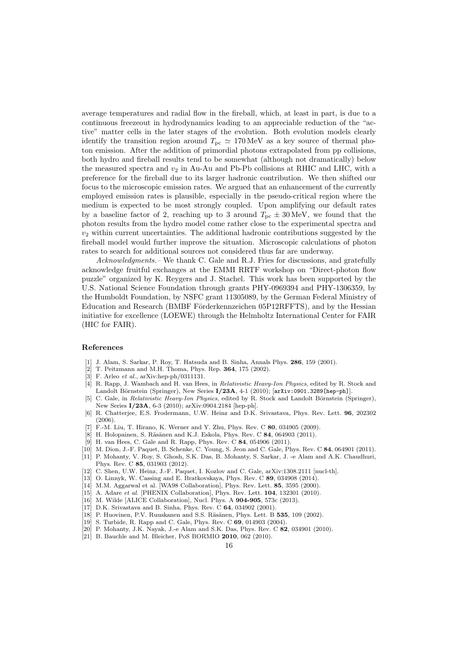average temperatures and radial flow in the fireball, which, at least in part, is due to a continuous freezeout in hydrodynamics leading to an appreciable reduction of the "active" matter cells in the later stages of the evolution. Both evolution models clearly identify the transition region around  $T_{pc} \simeq 170 \,\text{MeV}$  as a key source of thermal photon emission. After the addition of primordial photons extrapolated from pp collisions, both hydro and fireball results tend to be somewhat (although not dramatically) below the measured spectra and  $v_2$  in Au-Au and Pb-Pb collisions at RHIC and LHC, with a preference for the fireball due to its larger hadronic contribution. We then shifted our focus to the microscopic emission rates. We argued that an enhancement of the currently employed emission rates is plausible, especially in the pseudo-critical region where the medium is expected to be most strongly coupled. Upon amplifying our default rates by a baseline factor of 2, reaching up to 3 around  $T_{\text{pc}} \pm 30 \text{ MeV}$ , we found that the photon results from the hydro model come rather close to the experimental spectra and  $v<sub>2</sub>$  within current uncertainties. The additional hadronic contributions suggested by the fireball model would further improve the situation. Microscopic calculations of photon rates to search for additional sources not considered thus far are underway.

Acknowledgments.– We thank C. Gale and R.J. Fries for discussions, and gratefully acknowledge fruitful exchanges at the EMMI RRTF workshop on "Direct-photon flow puzzle" organized by K. Reygers and J. Stachel. This work has been supported by the U.S. National Science Foundation through grants PHY-0969394 and PHY-1306359, by the Humboldt Foundation, by NSFC grant 11305089, by the German Federal Ministry of Education and Research (BMBF Förderkennzeichen 05P12RFFTS), and by the Hessian initiative for excellence (LOEWE) through the Helmholtz International Center for FAIR (HIC for FAIR).

#### References

- <span id="page-15-0"></span>[1] J. Alam, S. Sarkar, P. Roy, T. Hatsuda and B. Sinha, Annals Phys. 286, 159 (2001).
- <span id="page-15-1"></span>[2] T. Peitzmann and M.H. Thoma, Phys. Rep. 364, 175 (2002).
- <span id="page-15-2"></span>[3] F. Arleo et al., arXiv:hep-ph/0311131.
- <span id="page-15-3"></span>[4] R. Rapp, J. Wambach and H. van Hees, in Relativistic Heavy-Ion Physics, edited by R. Stock and Landolt Börnstein (Springer), New Series  $I/23A$ , 4-1 (2010); [arXiv:0901.3289[hep-ph]].
- <span id="page-15-4"></span>[5] C. Gale, in Relativistic Heavy-Ion Physics, edited by R. Stock and Landolt Börnstein (Springer), New Series I/23A, 6-3 (2010); arXiv:0904.2184 [hep-ph].
- <span id="page-15-5"></span>[6] R. Chatterjee, E.S. Frodermann, U.W. Heinz and D.K. Srivastava, Phys. Rev. Lett. 96, 202302 (2006).
- <span id="page-15-6"></span>F.-M. Liu, T. Hirano, K. Werner and Y. Zhu, Phys. Rev. C 80, 034905 (2009).
- <span id="page-15-7"></span>[8] H. Holopainen, S. Räsänen and K.J. Eskola, Phys. Rev. C 84, 064903 (2011).
- <span id="page-15-8"></span>[9] H. van Hees, C. Gale and R. Rapp, Phys. Rev. C 84, 054906 (2011).
- <span id="page-15-9"></span>[10] M. Dion, J.-F. Paquet, B. Schenke, C. Young, S. Jeon and C. Gale, Phys. Rev. C 84, 064901 (2011).
- <span id="page-15-10"></span>[11] P. Mohanty, V. Roy, S. Ghosh, S.K. Das, B. Mohanty, S. Sarkar, J. -e Alam and A.K. Chaudhuri, Phys. Rev. C 85, 031903 (2012).
- <span id="page-15-11"></span>[12] C. Shen, U.W. Heinz, J.-F. Paquet, I. Kozlov and C. Gale, arXiv:1308.2111 [nucl-th].
- <span id="page-15-12"></span>[13] O. Linnyk, W. Cassing and E. Bratkovskaya, Phys. Rev. C 89, 034908 (2014).
- <span id="page-15-13"></span>[14] M.M. Aggarwal et al. [WA98 Collaboration], Phys. Rev. Lett. 85, 3595 (2000).
- <span id="page-15-14"></span>[15] A. Adare et al. [PHENIX Collaboration], Phys. Rev. Lett. **104**, 132301 (2010).
- <span id="page-15-15"></span>[16] M. Wilde [ALICE Collaboration], Nucl. Phys. A 904-905, 573c (2013).
- <span id="page-15-16"></span>[17] D.K. Srivastava and B. Sinha, Phys. Rev. C 64, 034902 (2001).
- <span id="page-15-17"></span>[18] P. Huovinen, P.V. Ruuskanen and S.S. Räsänen, Phys. Lett. B 535, 109 (2002).
- <span id="page-15-18"></span>[19] S. Turbide, R. Rapp and C. Gale, Phys. Rev. C 69, 014903 (2004).
- <span id="page-15-19"></span>[20] P. Mohanty, J.K. Nayak, J.-e Alam and S.K. Das, Phys. Rev. C 82, 034901 (2010).
- <span id="page-15-20"></span>[21] B. Bauchle and M. Bleicher, PoS BORMIO 2010, 062 (2010).